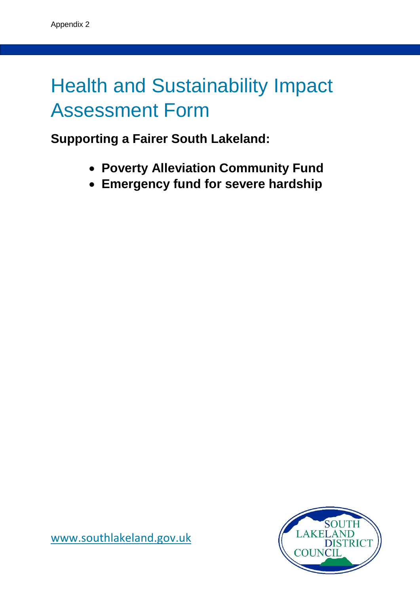# Health and Sustainability Impact Assessment Form

**Supporting a Fairer South Lakeland:**

- **Poverty Alleviation Community Fund**
- **Emergency fund for severe hardship**



[www.southlakeland.gov.uk](http://www.southlakeland.gov.uk/)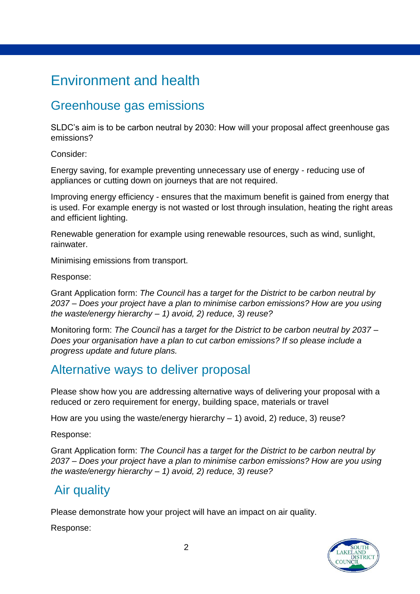### Environment and health

### Greenhouse gas emissions

SLDC's aim is to be carbon neutral by 2030: How will your proposal affect greenhouse gas emissions?

Consider:

Energy saving, for example preventing unnecessary use of energy - reducing use of appliances or cutting down on journeys that are not required.

Improving energy efficiency - ensures that the maximum benefit is gained from energy that is used. For example energy is not wasted or lost through insulation, heating the right areas and efficient lighting.

Renewable generation for example using renewable resources, such as wind, sunlight, rainwater.

Minimising emissions from transport.

Response:

Grant Application form: *The Council has a target for the District to be carbon neutral by 2037 – Does your project have a plan to minimise carbon emissions? How are you using the waste/energy hierarchy – 1) avoid, 2) reduce, 3) reuse?*

Monitoring form: *The Council has a target for the District to be carbon neutral by 2037 – Does your organisation have a plan to cut carbon emissions? If so please include a progress update and future plans.*

#### Alternative ways to deliver proposal

Please show how you are addressing alternative ways of delivering your proposal with a reduced or zero requirement for energy, building space, materials or travel

How are you using the waste/energy hierarchy  $-1$ ) avoid, 2) reduce, 3) reuse?

Response:

Grant Application form: *The Council has a target for the District to be carbon neutral by 2037 – Does your project have a plan to minimise carbon emissions? How are you using the waste/energy hierarchy – 1) avoid, 2) reduce, 3) reuse?*

### Air quality

Please demonstrate how your project will have an impact on air quality.

Response:

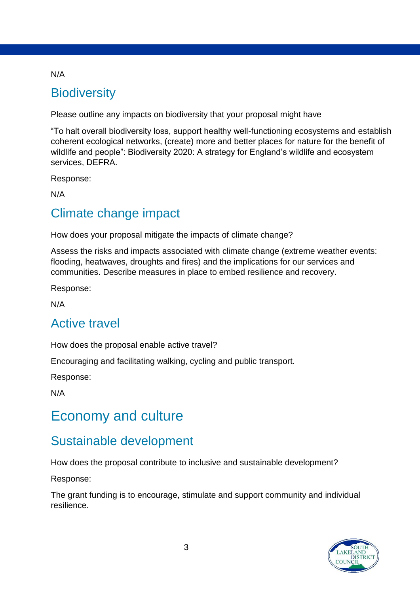#### N/A

### **Biodiversity**

Please outline any impacts on biodiversity that your proposal might have

"To halt overall biodiversity loss, support healthy well-functioning ecosystems and establish coherent ecological networks, (create) more and better places for nature for the benefit of wildlife and people": Biodiversity 2020: A strategy for England's wildlife and ecosystem services, DEFRA.

Response:

N/A

### Climate change impact

How does your proposal mitigate the impacts of climate change?

Assess the risks and impacts associated with climate change (extreme weather events: flooding, heatwaves, droughts and fires) and the implications for our services and communities. Describe measures in place to embed resilience and recovery.

Response:

N/A

### Active travel

How does the proposal enable active travel?

Encouraging and facilitating walking, cycling and public transport.

Response:

N/A

### Economy and culture

### Sustainable development

How does the proposal contribute to inclusive and sustainable development?

Response:

The grant funding is to encourage, stimulate and support community and individual resilience.

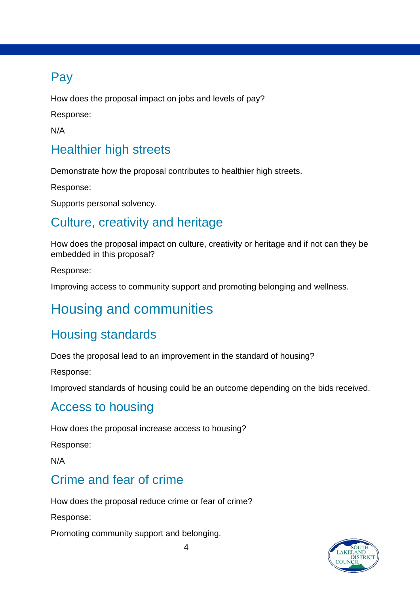### Pay

How does the proposal impact on jobs and levels of pay?

Response:

N/A

### Healthier high streets

Demonstrate how the proposal contributes to healthier high streets.

Response:

Supports personal solvency.

### Culture, creativity and heritage

How does the proposal impact on culture, creativity or heritage and if not can they be embedded in this proposal?

Response:

Improving access to community support and promoting belonging and wellness.

# Housing and communities

### Housing standards

Does the proposal lead to an improvement in the standard of housing?

Response:

Improved standards of housing could be an outcome depending on the bids received.

### Access to housing

How does the proposal increase access to housing?

Response:

N/A

### Crime and fear of crime

How does the proposal reduce crime or fear of crime?

Response:

Promoting community support and belonging.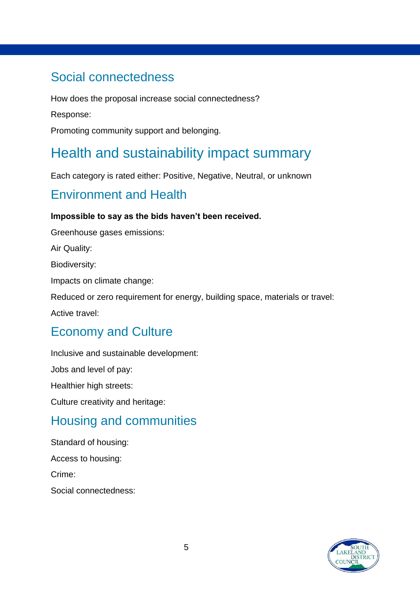### Social connectedness

How does the proposal increase social connectedness?

Response:

Promoting community support and belonging.

## Health and sustainability impact summary

Each category is rated either: Positive, Negative, Neutral, or unknown

#### Environment and Health

#### **Impossible to say as the bids haven't been received.**

Greenhouse gases emissions:

Air Quality:

Biodiversity:

Impacts on climate change:

Reduced or zero requirement for energy, building space, materials or travel:

Active travel:

### Economy and Culture

Inclusive and sustainable development: Jobs and level of pay: Healthier high streets:

Culture creativity and heritage:

### Housing and communities

Standard of housing: Access to housing: Crime: Social connectedness: